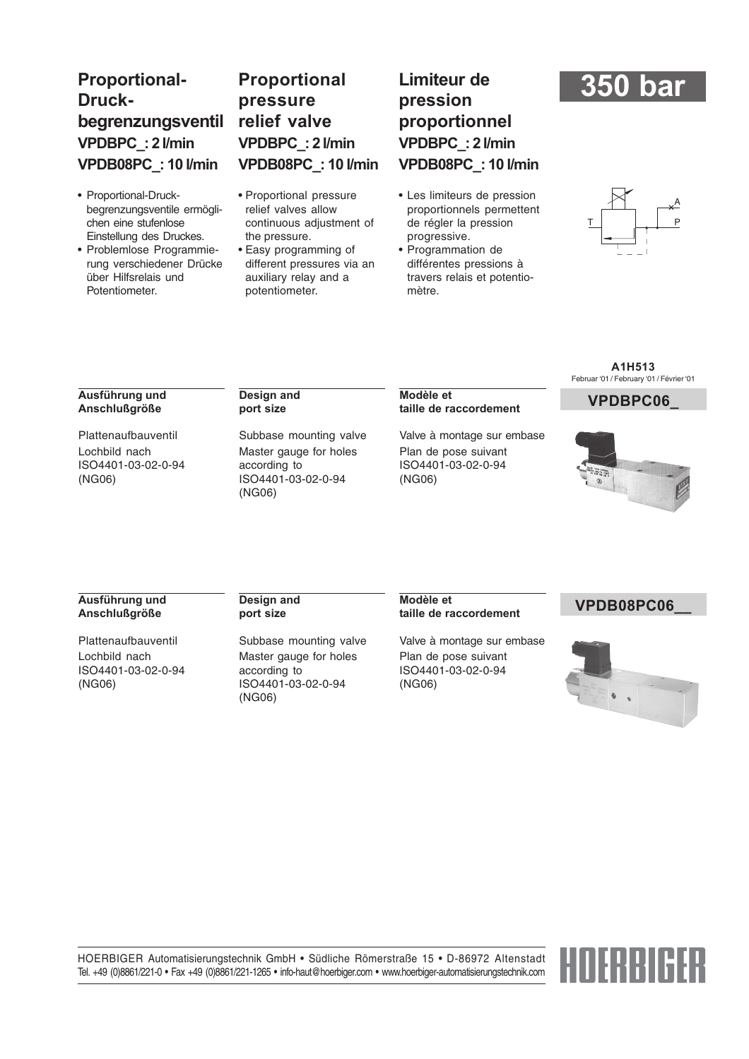# **Proportional-Druckbegrenzungsventil VPDBPC\_: 2 l/min VPDB08PC\_: 10 l/min**

- Proportional-Druckbegrenzungsventile ermöglichen eine stufenlose Einstellung des Druckes.
- Problemlose Programmierung verschiedener Drücke über Hilfsrelais und Potentiometer.

# **Proportional pressure relief valve VPDBPC\_: 2 l/min VPDB08PC\_: 10 l/min**

- Proportional pressure relief valves allow continuous adjustment of the pressure.
- Easy programming of different pressures via an auxiliary relay and a potentiometer.

# **Limiteur de pression proportionnel VPDBPC\_: 2 l/min VPDB08PC\_: 10 l/min**

- Les limiteurs de pression proportionnels permettent de régler la pression progressive.
- Programmation de différentes pressions à travers relais et potentiomètre.

# **350 bar**



#### **Ausführung und Anschlußgröße**

Plattenaufbauventil Lochbild nach ISO4401-03-02-0-94 (NG06)

#### **Design and port size**

Subbase mounting valve Master gauge for holes according to ISO4401-03-02-0-94 (NG06)

#### **VPDBPC06\_ Modèle et taille de raccordement**

Valve à montage sur embase Plan de pose suivant ISO4401-03-02-0-94 (NG06)

#### **A1H513** Februar '01 / February '01 / Février '01



#### **Ausführung und Anschlußgröße**

Plattenaufbauventil Lochbild nach ISO4401-03-02-0-94 (NG06)

#### **Design and port size**

Subbase mounting valve Master gauge for holes according to ISO4401-03-02-0-94 (NG06)

#### **VPDB08PC06\_\_ Modèle et taille de raccordement**

Valve à montage sur embase Plan de pose suivant ISO4401-03-02-0-94 (NG06)



HOERBIGER Automatisierungstechnik GmbH • Südliche Römerstraße 15 • D-86972 Altenstadt Tel. +49 (0)8861/221-0 • Fax +49 (0)8861/221-1265 • info-haut@hoerbiger.com • www.hoerbiger-automatisierungstechnik.com

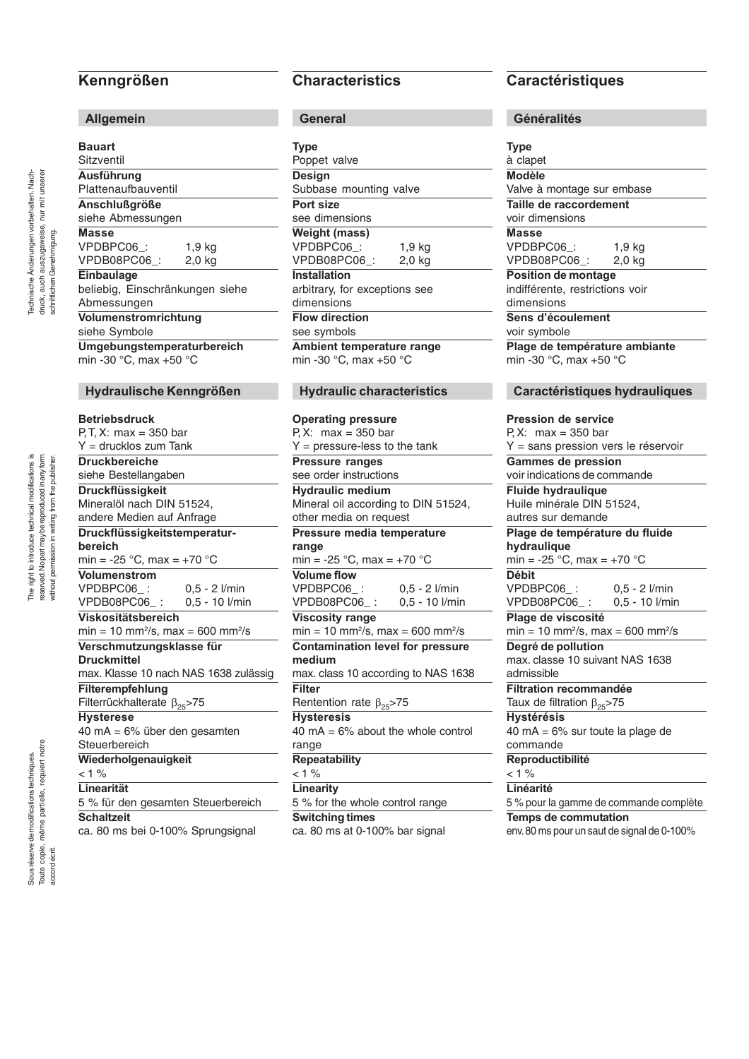# **Kenngrößen**

#### **Allgemein**

| <b>Bauart</b>                   |          |
|---------------------------------|----------|
| Sitzventil                      |          |
| Ausführung                      |          |
| Plattenaufbauventil             |          |
| Anschlußgröße                   |          |
| siehe Abmessungen               |          |
| <b>Masse</b>                    |          |
| VPDBPC06_:                      | $1,9$ kg |
| VPDB08PC06_:                    | $2,0$ kg |
| Einbaulage                      |          |
| beliebig, Einschränkungen siehe |          |
| Abmessungen                     |          |
| Volumenstromrichtung            |          |
| siehe Symbole                   |          |
| Umgebungstemperaturbereich      |          |
| min -30 °C, max +50 °C          |          |

#### **Hydraulische Kenngrößen**

#### **Betriebsdruck**

P, T, X: max = 350 bar Y = drucklos zum Tank **Druckbereiche** siehe Bestellangaben **Druckflüssigkeit** Mineralöl nach DIN 51524, andere Medien auf Anfrage **Druckflüssigkeitstemperaturbereich** min =  $-25$  °C, max =  $+70$  °C **Volumenstrom** VPDBPC06\_: 0,5 - 2 l/min<br>VPDB08PC06 : 0,5 - 10 l/min VPDB08PC06 **Viskositätsbereich**  $min = 10$  mm<sup>2</sup>/s, max = 600 mm<sup>2</sup>/s **Verschmutzungsklasse für Druckmittel** max. Klasse 10 nach NAS 1638 zulässig **Filterempfehlung** Filterrückhalterate  $β_{25}$ >75 **Hysterese** 40 mA = 6% über den gesamten **Steuerbereich Wiederholgenauigkeit**  $< 1 %$ **Linearität** 5 % für den gesamten Steuerbereich **Schaltzeit**

ca. 80 ms bei 0-100% Sprungsignal

## **Characteristics**

**General**

| <b>Type</b>                   |  |
|-------------------------------|--|
| Poppet valve                  |  |
| <b>Design</b>                 |  |
| Subbase mounting valve        |  |
| Port size                     |  |
| see dimensions                |  |
| <b>Weight (mass)</b>          |  |
| VPDBPC06:<br>1,9 kg           |  |
| VPDB08PC06:<br>2.0 kg         |  |
| Installation                  |  |
| arbitrary, for exceptions see |  |
| dimensions                    |  |
| <b>Flow direction</b>         |  |
| see symbols                   |  |
| Ambient temperature range     |  |
| min -30 °C, max +50 °C        |  |
|                               |  |

### **Hydraulic characteristics**

**Operating pressure** P, X: max =  $350$  bar  $Y = pressure$ -less to the tank **Pressure ranges** see order instructions **Hydraulic medium** Mineral oil according to DIN 51524, other media on request **Pressure media temperature range** min = -25  $^{\circ}$ C, max = +70  $^{\circ}$ C **Volume flow** VPDBPC06\_: 0,5 - 2 l/min<br>VPDB08PC06 : 0.5 - 10 l/min VPDB08PC06 : **Viscosity range** min = 10 mm2 /s, max = 600 mm2/s **Contamination level for pressure medium** max. class 10 according to NAS 1638 **Filter** Rentention rate  $β_{25}$ >75 **Hysteresis**  $40 \text{ mA} = 6\%$  about the whole control range **Repeatability**  $< 1 %$ **Linearity** 5 % for the whole control range **Switching times** ca. 80 ms at 0-100% bar signal

# **Caractéristiques**

| <b>Type</b>                                                 |                                        |
|-------------------------------------------------------------|----------------------------------------|
| à clapet                                                    |                                        |
| <b>Modèle</b>                                               |                                        |
| Valve à montage sur embase                                  |                                        |
| Taille de raccordement                                      |                                        |
| voir dimensions                                             |                                        |
| <b>Masse</b>                                                |                                        |
| VPDBPC06_:                                                  | $1,9$ kg                               |
| VPDB08PC06_:                                                | 2,0 kg                                 |
| Position de montage                                         |                                        |
| indifférente, restrictions voir                             |                                        |
| dimensions                                                  |                                        |
| Sens d'écoulement                                           |                                        |
| voir symbole                                                |                                        |
| Plage de température ambiante                               |                                        |
| min -30 °C, max +50 °C                                      |                                        |
|                                                             |                                        |
|                                                             | Caractéristiques hydrauliques          |
|                                                             |                                        |
| <b>Pression de service</b>                                  |                                        |
| P, X: $max = 350$ bar                                       |                                        |
| Y = sans pression vers le réservoir                         |                                        |
| <b>Gammes de pression</b>                                   |                                        |
| voir indications de commande                                |                                        |
| <b>Fluide hydraulique</b>                                   |                                        |
| Huile minérale DIN 51524,                                   |                                        |
| autres sur demande                                          |                                        |
| Plage de température du fluide                              |                                        |
| hydraulique                                                 |                                        |
| min = -25 °C, max = +70 °C                                  |                                        |
| <b>Débit</b>                                                |                                        |
| VPDBPC06_:                                                  |                                        |
|                                                             | $0.5 - 2$ l/min                        |
| VPDB08PC06_:                                                | 0,5 - 10 l/min                         |
| Plage de viscosité                                          |                                        |
| $min = 10$ mm <sup>2</sup> /s, max = 600 mm <sup>2</sup> /s |                                        |
|                                                             |                                        |
| Degré de pollution<br>max. classe 10 suivant NAS 1638       |                                        |
| admissible                                                  |                                        |
| <b>Filtration recommandée</b>                               |                                        |
|                                                             |                                        |
| Taux de filtration $\beta_{25}$ >75                         |                                        |
| <b>Hystérésis</b>                                           |                                        |
| 40 mA = $6\%$ sur toute la plage de                         |                                        |
| commande                                                    |                                        |
| Reproductibilité                                            |                                        |
| < 1 %                                                       |                                        |
| Linéarité                                                   | 5 % pour la gamme de commande complète |

env. 80 ms pour un saut de signal de 0-100%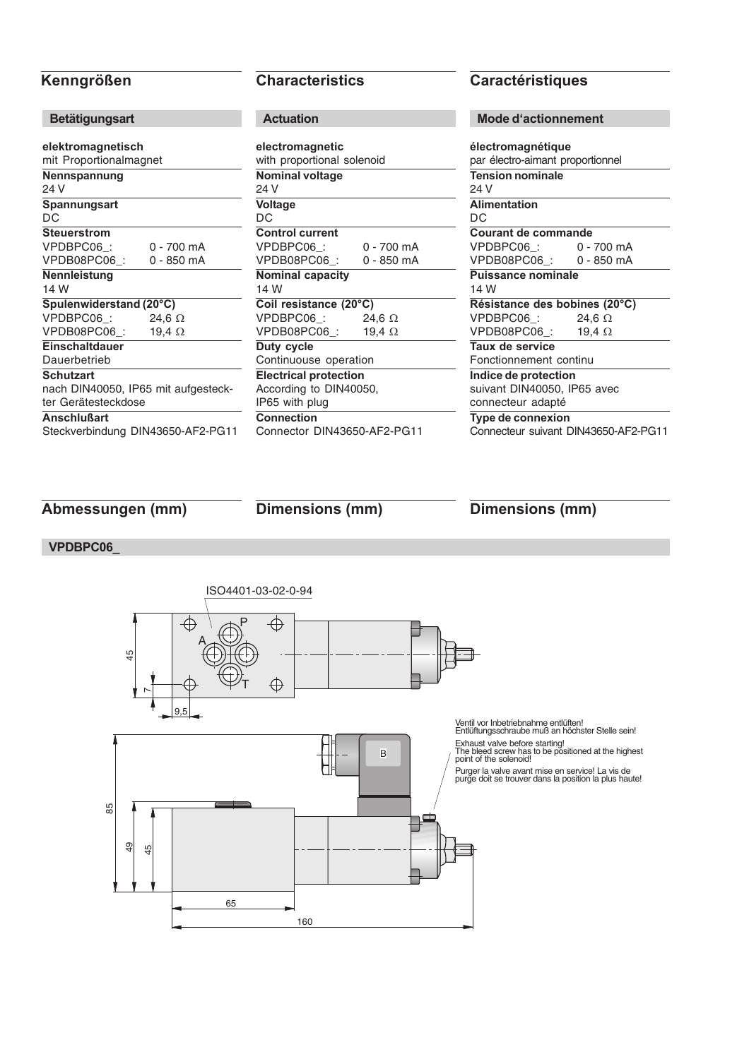| <b>Betätigungsart</b>                                      |                                   |
|------------------------------------------------------------|-----------------------------------|
| elektromagnetisch<br>mit Proportionalmagnet                |                                   |
| Nennspannung<br>24 V                                       |                                   |
| Spannungsart<br>DC                                         |                                   |
| <b>Steuerstrom</b>                                         |                                   |
| VPDBPC06:                                                  | 0 - 700 mA                        |
| VPDB08PC06_:                                               | 0 - 850 mA                        |
| Nennleistung<br>14 W                                       |                                   |
| Spulenwiderstand (20°C)                                    |                                   |
| VPDBPC06:                                                  | 24,6 $\Omega$                     |
| VPDB08PC06:                                                | 19,4 $\Omega$                     |
| <b>Einschaltdauer</b><br>Dauerbetrieb                      |                                   |
| <b>Schutzart</b>                                           |                                   |
| nach DIN40050, IP65 mit aufgesteck-<br>ter Gerätesteckdose |                                   |
| <b>Anschlußart</b>                                         |                                   |
|                                                            | Steckverbindung DIN43650-AF2-PG11 |

| <b>Actuation</b>                              |               |
|-----------------------------------------------|---------------|
| electromagnetic<br>with proportional solenoid |               |
| <b>Nominal voltage</b><br>24 V                |               |
| Voltage<br>DС                                 |               |
| <b>Control current</b>                        |               |
| VPDBPC06:                                     | 0 - 700 mA    |
| VPDB08PC06:                                   | 0 - 850 mA    |
| <b>Nominal capacity</b><br>14 W               |               |
| Coil resistance (20°C)                        |               |
| VPDBPC06:                                     | 24,6 $\Omega$ |
| VPDB08PC06:                                   | 19,4 $\Omega$ |
| Duty cycle                                    |               |
| Continuouse operation                         |               |
| <b>Electrical protection</b>                  |               |
| According to DIN40050,                        |               |
| IP65 with plug                                |               |
| <b>Connection</b>                             |               |
| Connector DIN43650-AF2-PG11                   |               |

# **Kenngrößen Characteristics Caractéristiques**

### **Mode d'actionnement**

| électromagnétique                    |               |
|--------------------------------------|---------------|
| par électro-aimant proportionnel     |               |
| Tension nominale                     |               |
| 24 V                                 |               |
| <b>Alimentation</b>                  |               |
| DC                                   |               |
| <b>Courant de commande</b>           |               |
| VPDBPC06_:                           | 0 - 700 mA    |
| VPDB08PC06_:  0 - 850 mA             |               |
| <b>Puissance nominale</b>            |               |
| 14 W                                 |               |
| Résistance des bobines (20°C)        |               |
| VPDBPC06_:                           | 24,6 $\Omega$ |
| VPDB08PC06_:                         | 19,4 $\Omega$ |
| Taux de service                      |               |
| Fonctionnement continu               |               |
| Indice de protection                 |               |
| suivant DIN40050, IP65 avec          |               |
| connecteur adapté                    |               |
| Type de connexion                    |               |
| Connecteur suivant DIN43650-AF2-PG11 |               |

**Abmessungen (mm) Dimensions (mm) Dimensions (mm)**

### **VPDBPC06\_**